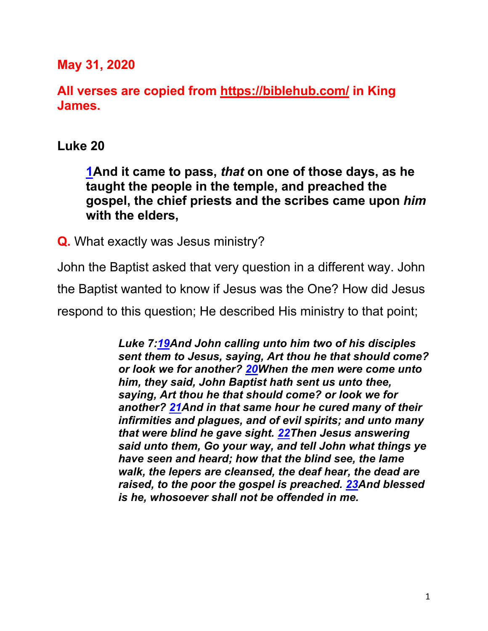## **May 31, 2020**

## **All verses are copied from https://biblehub.com/ in King James.**

## **Luke 20**

**1And it came to pass,** *that* **on one of those days, as he taught the people in the temple, and preached the gospel, the chief priests and the scribes came upon** *him* **with the elders,**

**Q.** What exactly was Jesus ministry?

John the Baptist asked that very question in a different way. John the Baptist wanted to know if Jesus was the One? How did Jesus respond to this question; He described His ministry to that point;

> *Luke 7:19And John calling unto him two of his disciples sent them to Jesus, saying, Art thou he that should come? or look we for another? 20When the men were come unto him, they said, John Baptist hath sent us unto thee, saying, Art thou he that should come? or look we for another? 21And in that same hour he cured many of their infirmities and plagues, and of evil spirits; and unto many that were blind he gave sight. 22Then Jesus answering said unto them, Go your way, and tell John what things ye have seen and heard; how that the blind see, the lame walk, the lepers are cleansed, the deaf hear, the dead are raised, to the poor the gospel is preached. 23And blessed is he, whosoever shall not be offended in me.*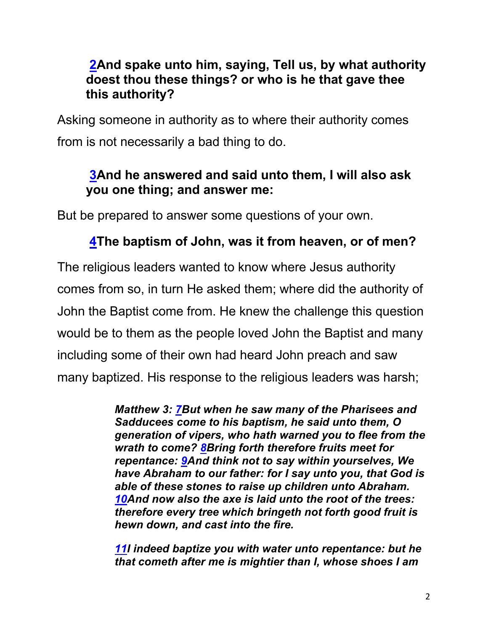## **2And spake unto him, saying, Tell us, by what authority doest thou these things? or who is he that gave thee this authority?**

Asking someone in authority as to where their authority comes from is not necessarily a bad thing to do.

# **3And he answered and said unto them, I will also ask you one thing; and answer me:**

But be prepared to answer some questions of your own.

# **4The baptism of John, was it from heaven, or of men?**

The religious leaders wanted to know where Jesus authority comes from so, in turn He asked them; where did the authority of John the Baptist come from. He knew the challenge this question would be to them as the people loved John the Baptist and many including some of their own had heard John preach and saw many baptized. His response to the religious leaders was harsh;

> *Matthew 3: 7But when he saw many of the Pharisees and Sadducees come to his baptism, he said unto them, O generation of vipers, who hath warned you to flee from the wrath to come? 8Bring forth therefore fruits meet for repentance: 9And think not to say within yourselves, We have Abraham to our father: for I say unto you, that God is able of these stones to raise up children unto Abraham. 10And now also the axe is laid unto the root of the trees: therefore every tree which bringeth not forth good fruit is hewn down, and cast into the fire.*

*11I indeed baptize you with water unto repentance: but he that cometh after me is mightier than I, whose shoes I am*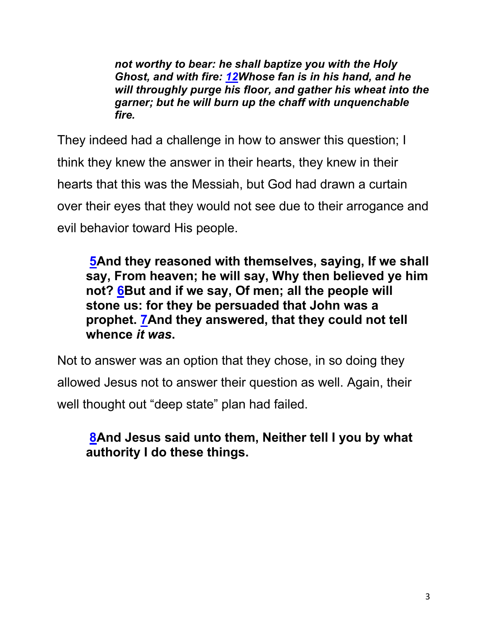*not worthy to bear: he shall baptize you with the Holy Ghost, and with fire: 12Whose fan is in his hand, and he will throughly purge his floor, and gather his wheat into the garner; but he will burn up the chaff with unquenchable fire.*

They indeed had a challenge in how to answer this question; I think they knew the answer in their hearts, they knew in their hearts that this was the Messiah, but God had drawn a curtain over their eyes that they would not see due to their arrogance and evil behavior toward His people.

**5And they reasoned with themselves, saying, If we shall say, From heaven; he will say, Why then believed ye him not? 6But and if we say, Of men; all the people will stone us: for they be persuaded that John was a prophet. 7And they answered, that they could not tell whence** *it was***.**

Not to answer was an option that they chose, in so doing they allowed Jesus not to answer their question as well. Again, their well thought out "deep state" plan had failed.

# **8And Jesus said unto them, Neither tell I you by what authority I do these things.**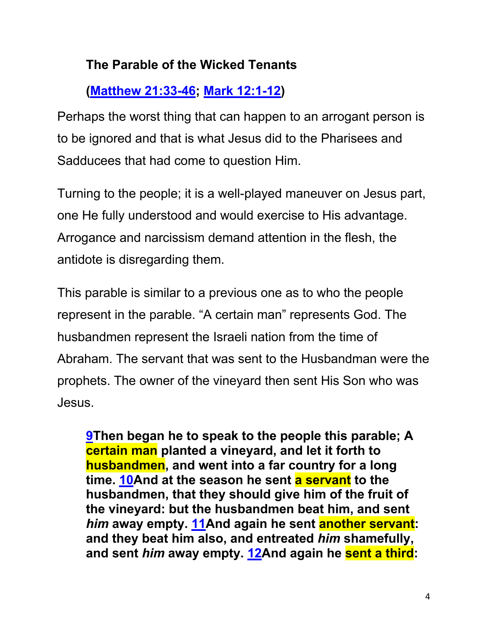# **The Parable of the Wicked Tenants**

# **(Matthew 21:33-46; Mark 12:1-12)**

Perhaps the worst thing that can happen to an arrogant person is to be ignored and that is what Jesus did to the Pharisees and Sadducees that had come to question Him.

Turning to the people; it is a well-played maneuver on Jesus part, one He fully understood and would exercise to His advantage. Arrogance and narcissism demand attention in the flesh, the antidote is disregarding them.

This parable is similar to a previous one as to who the people represent in the parable. "A certain man" represents God. The husbandmen represent the Israeli nation from the time of Abraham. The servant that was sent to the Husbandman were the prophets. The owner of the vineyard then sent His Son who was Jesus.

**9Then began he to speak to the people this parable; A certain man planted a vineyard, and let it forth to husbandmen, and went into a far country for a long time. 10And at the season he sent a servant to the husbandmen, that they should give him of the fruit of the vineyard: but the husbandmen beat him, and sent**  *him* **away empty. 11And again he sent another servant: and they beat him also, and entreated** *him* **shamefully, and sent** *him* **away empty. 12And again he sent a third:**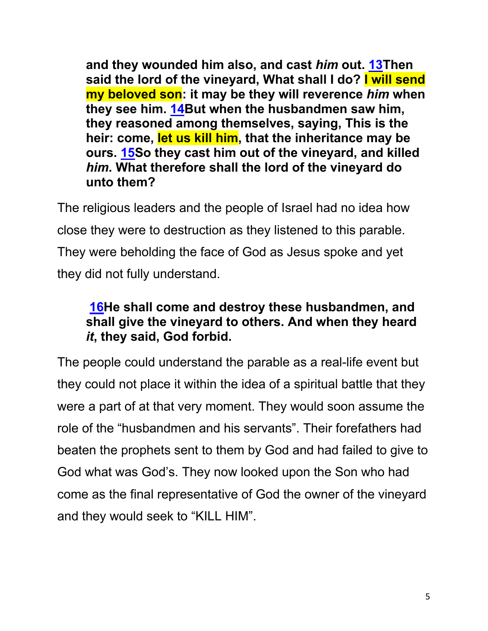**and they wounded him also, and cast** *him* **out. 13Then said the lord of the vineyard, What shall I do? I will send my beloved son: it may be they will reverence** *him* **when they see him. 14But when the husbandmen saw him, they reasoned among themselves, saying, This is the heir: come, let us kill him, that the inheritance may be ours. 15So they cast him out of the vineyard, and killed**  *him***. What therefore shall the lord of the vineyard do unto them?**

The religious leaders and the people of Israel had no idea how close they were to destruction as they listened to this parable. They were beholding the face of God as Jesus spoke and yet they did not fully understand.

## **16He shall come and destroy these husbandmen, and shall give the vineyard to others. And when they heard**  *it***, they said, God forbid.**

The people could understand the parable as a real-life event but they could not place it within the idea of a spiritual battle that they were a part of at that very moment. They would soon assume the role of the "husbandmen and his servants". Their forefathers had beaten the prophets sent to them by God and had failed to give to God what was God's. They now looked upon the Son who had come as the final representative of God the owner of the vineyard and they would seek to "KILL HIM".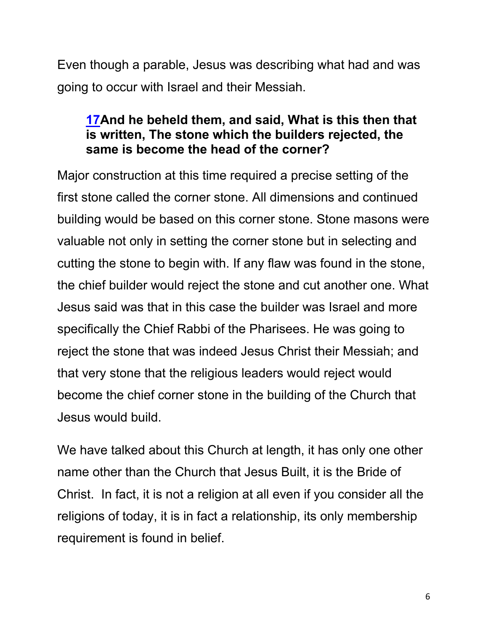Even though a parable, Jesus was describing what had and was going to occur with Israel and their Messiah.

# **17And he beheld them, and said, What is this then that is written, The stone which the builders rejected, the same is become the head of the corner?**

Major construction at this time required a precise setting of the first stone called the corner stone. All dimensions and continued building would be based on this corner stone. Stone masons were valuable not only in setting the corner stone but in selecting and cutting the stone to begin with. If any flaw was found in the stone, the chief builder would reject the stone and cut another one. What Jesus said was that in this case the builder was Israel and more specifically the Chief Rabbi of the Pharisees. He was going to reject the stone that was indeed Jesus Christ their Messiah; and that very stone that the religious leaders would reject would become the chief corner stone in the building of the Church that Jesus would build.

We have talked about this Church at length, it has only one other name other than the Church that Jesus Built, it is the Bride of Christ. In fact, it is not a religion at all even if you consider all the religions of today, it is in fact a relationship, its only membership requirement is found in belief.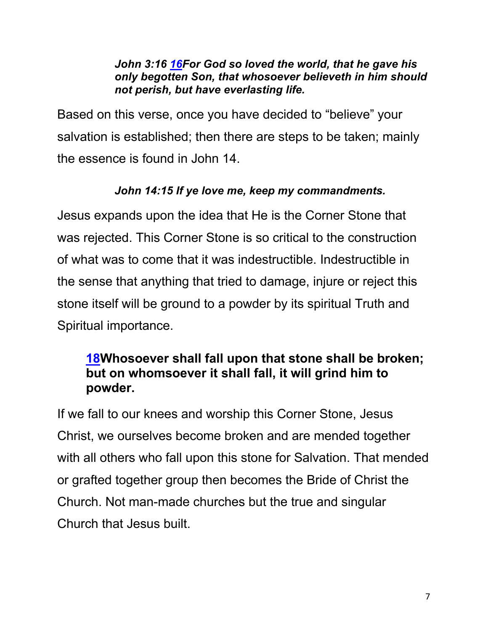#### *John 3:16 16For God so loved the world, that he gave his only begotten Son, that whosoever believeth in him should not perish, but have everlasting life.*

Based on this verse, once you have decided to "believe" your salvation is established; then there are steps to be taken; mainly the essence is found in John 14.

## *John 14:15 If ye love me, keep my commandments.*

Jesus expands upon the idea that He is the Corner Stone that was rejected. This Corner Stone is so critical to the construction of what was to come that it was indestructible. Indestructible in the sense that anything that tried to damage, injure or reject this stone itself will be ground to a powder by its spiritual Truth and Spiritual importance.

## **18Whosoever shall fall upon that stone shall be broken; but on whomsoever it shall fall, it will grind him to powder.**

If we fall to our knees and worship this Corner Stone, Jesus Christ, we ourselves become broken and are mended together with all others who fall upon this stone for Salvation. That mended or grafted together group then becomes the Bride of Christ the Church. Not man-made churches but the true and singular Church that Jesus built.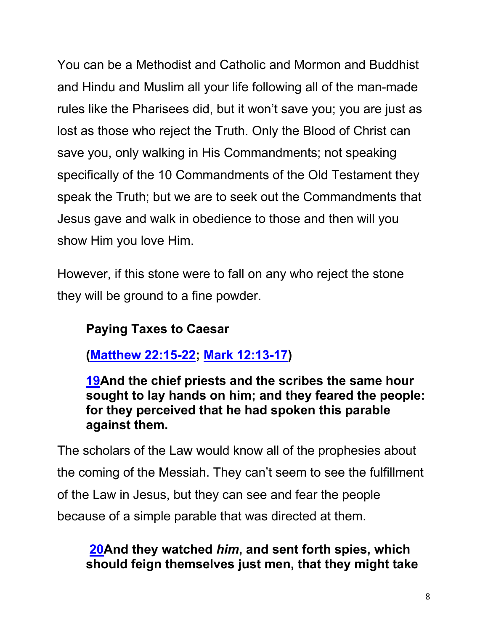You can be a Methodist and Catholic and Mormon and Buddhist and Hindu and Muslim all your life following all of the man-made rules like the Pharisees did, but it won't save you; you are just as lost as those who reject the Truth. Only the Blood of Christ can save you, only walking in His Commandments; not speaking specifically of the 10 Commandments of the Old Testament they speak the Truth; but we are to seek out the Commandments that Jesus gave and walk in obedience to those and then will you show Him you love Him.

However, if this stone were to fall on any who reject the stone they will be ground to a fine powder.

# **Paying Taxes to Caesar**

**(Matthew 22:15-22; Mark 12:13-17)**

**19And the chief priests and the scribes the same hour sought to lay hands on him; and they feared the people: for they perceived that he had spoken this parable against them.**

The scholars of the Law would know all of the prophesies about the coming of the Messiah. They can't seem to see the fulfillment of the Law in Jesus, but they can see and fear the people because of a simple parable that was directed at them.

# **20And they watched** *him***, and sent forth spies, which should feign themselves just men, that they might take**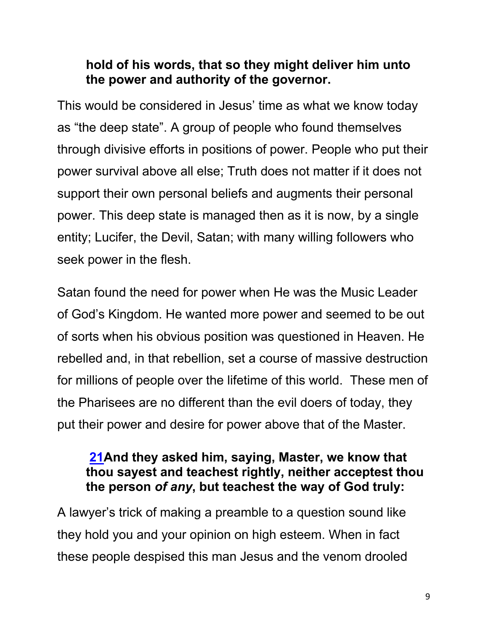## **hold of his words, that so they might deliver him unto the power and authority of the governor.**

This would be considered in Jesus' time as what we know today as "the deep state". A group of people who found themselves through divisive efforts in positions of power. People who put their power survival above all else; Truth does not matter if it does not support their own personal beliefs and augments their personal power. This deep state is managed then as it is now, by a single entity; Lucifer, the Devil, Satan; with many willing followers who seek power in the flesh.

Satan found the need for power when He was the Music Leader of God's Kingdom. He wanted more power and seemed to be out of sorts when his obvious position was questioned in Heaven. He rebelled and, in that rebellion, set a course of massive destruction for millions of people over the lifetime of this world. These men of the Pharisees are no different than the evil doers of today, they put their power and desire for power above that of the Master.

## **21And they asked him, saying, Master, we know that thou sayest and teachest rightly, neither acceptest thou the person** *of any***, but teachest the way of God truly:**

A lawyer's trick of making a preamble to a question sound like they hold you and your opinion on high esteem. When in fact these people despised this man Jesus and the venom drooled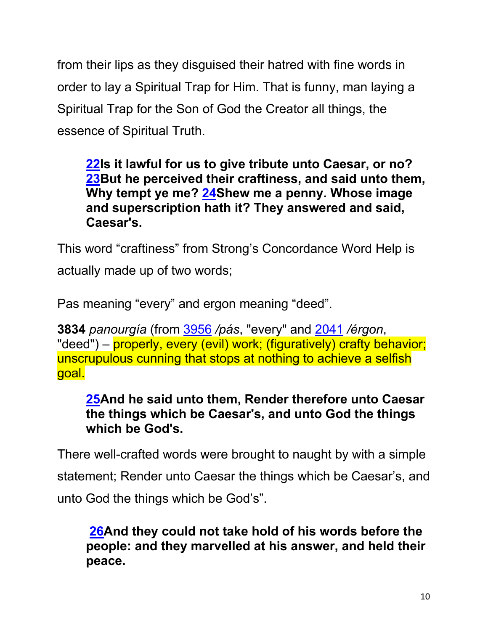from their lips as they disguised their hatred with fine words in order to lay a Spiritual Trap for Him. That is funny, man laying a Spiritual Trap for the Son of God the Creator all things, the essence of Spiritual Truth.

## **22Is it lawful for us to give tribute unto Caesar, or no? 23But he perceived their craftiness, and said unto them, Why tempt ye me? 24Shew me a penny. Whose image and superscription hath it? They answered and said, Caesar's.**

This word "craftiness" from Strong's Concordance Word Help is actually made up of two words;

Pas meaning "every" and ergon meaning "deed".

**3834** *panourgía* (from 3956 */pás*, "every" and 2041 */érgon*, "deed") – properly, every (evil) work; (figuratively) crafty behavior; unscrupulous cunning that stops at nothing to achieve a selfish goal.

## **25And he said unto them, Render therefore unto Caesar the things which be Caesar's, and unto God the things which be God's.**

There well-crafted words were brought to naught by with a simple statement; Render unto Caesar the things which be Caesar's, and unto God the things which be God's".

# **26And they could not take hold of his words before the people: and they marvelled at his answer, and held their peace.**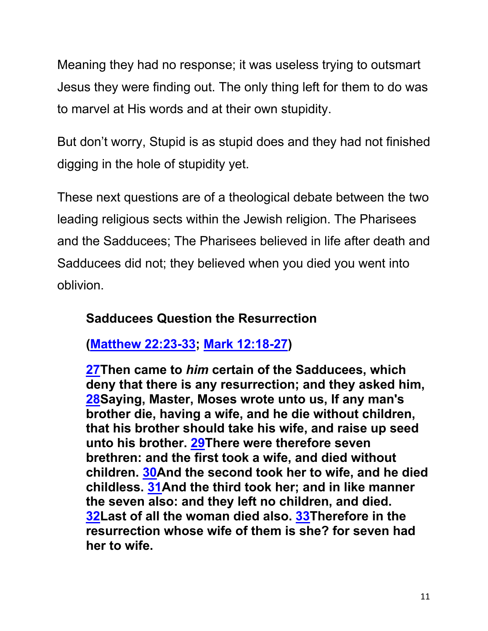Meaning they had no response; it was useless trying to outsmart Jesus they were finding out. The only thing left for them to do was to marvel at His words and at their own stupidity.

But don't worry, Stupid is as stupid does and they had not finished digging in the hole of stupidity yet.

These next questions are of a theological debate between the two leading religious sects within the Jewish religion. The Pharisees and the Sadducees; The Pharisees believed in life after death and Sadducees did not; they believed when you died you went into oblivion.

# **Sadducees Question the Resurrection**

**(Matthew 22:23-33; Mark 12:18-27)**

**27Then came to** *him* **certain of the Sadducees, which deny that there is any resurrection; and they asked him, 28Saying, Master, Moses wrote unto us, If any man's brother die, having a wife, and he die without children, that his brother should take his wife, and raise up seed unto his brother. 29There were therefore seven brethren: and the first took a wife, and died without children. 30And the second took her to wife, and he died childless. 31And the third took her; and in like manner the seven also: and they left no children, and died. 32Last of all the woman died also. 33Therefore in the resurrection whose wife of them is she? for seven had her to wife.**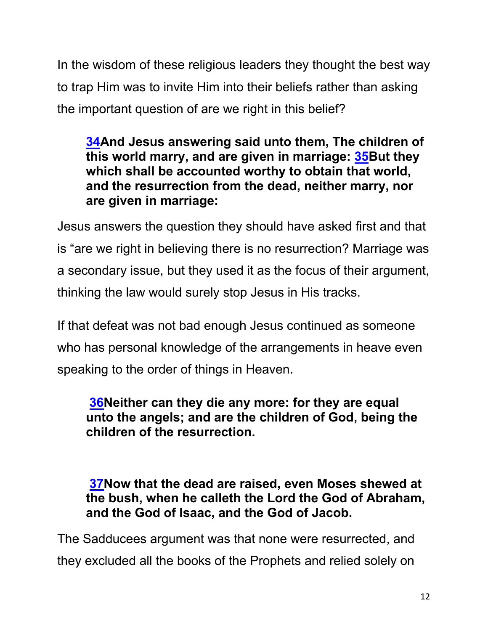In the wisdom of these religious leaders they thought the best way to trap Him was to invite Him into their beliefs rather than asking the important question of are we right in this belief?

**34And Jesus answering said unto them, The children of this world marry, and are given in marriage: 35But they which shall be accounted worthy to obtain that world, and the resurrection from the dead, neither marry, nor are given in marriage:**

Jesus answers the question they should have asked first and that is "are we right in believing there is no resurrection? Marriage was a secondary issue, but they used it as the focus of their argument, thinking the law would surely stop Jesus in His tracks.

If that defeat was not bad enough Jesus continued as someone who has personal knowledge of the arrangements in heave even speaking to the order of things in Heaven.

**36Neither can they die any more: for they are equal unto the angels; and are the children of God, being the children of the resurrection.**

**37Now that the dead are raised, even Moses shewed at the bush, when he calleth the Lord the God of Abraham, and the God of Isaac, and the God of Jacob.**

The Sadducees argument was that none were resurrected, and they excluded all the books of the Prophets and relied solely on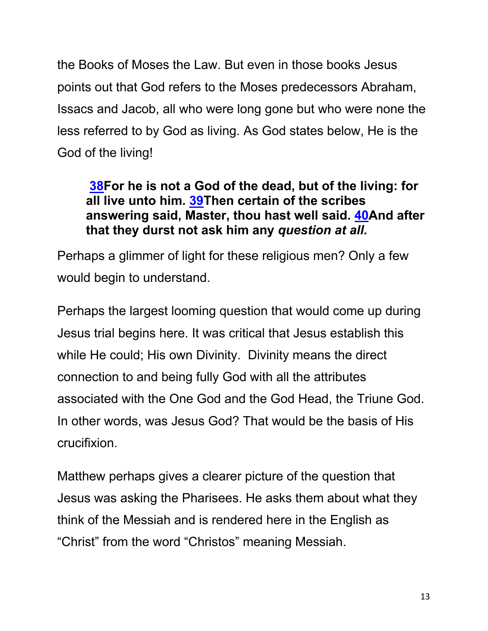the Books of Moses the Law. But even in those books Jesus points out that God refers to the Moses predecessors Abraham, Issacs and Jacob, all who were long gone but who were none the less referred to by God as living. As God states below, He is the God of the living!

## **38For he is not a God of the dead, but of the living: for all live unto him. 39Then certain of the scribes answering said, Master, thou hast well said. 40And after that they durst not ask him any** *question at all***.**

Perhaps a glimmer of light for these religious men? Only a few would begin to understand.

Perhaps the largest looming question that would come up during Jesus trial begins here. It was critical that Jesus establish this while He could; His own Divinity. Divinity means the direct connection to and being fully God with all the attributes associated with the One God and the God Head, the Triune God. In other words, was Jesus God? That would be the basis of His crucifixion.

Matthew perhaps gives a clearer picture of the question that Jesus was asking the Pharisees. He asks them about what they think of the Messiah and is rendered here in the English as "Christ" from the word "Christos" meaning Messiah.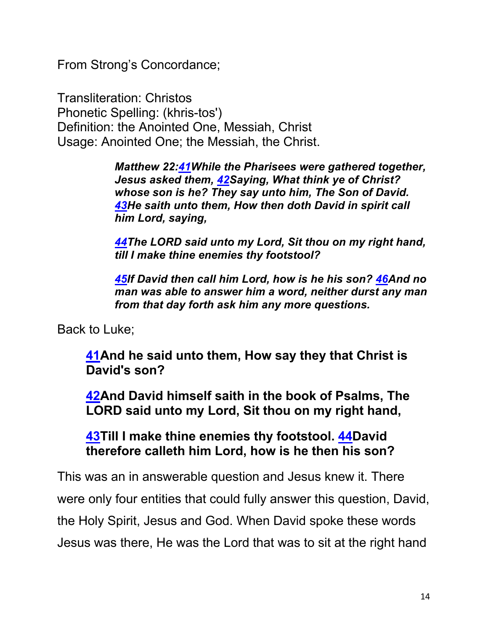From Strong's Concordance;

Transliteration: Christos Phonetic Spelling: (khris-tos') Definition: the Anointed One, Messiah, Christ Usage: Anointed One; the Messiah, the Christ.

> *Matthew 22:41While the Pharisees were gathered together, Jesus asked them, 42Saying, What think ye of Christ? whose son is he? They say unto him, The Son of David. 43He saith unto them, How then doth David in spirit call him Lord, saying,*

> *44The LORD said unto my Lord, Sit thou on my right hand, till I make thine enemies thy footstool?*

> *45If David then call him Lord, how is he his son? 46And no man was able to answer him a word, neither durst any man from that day forth ask him any more questions.*

Back to Luke;

**41And he said unto them, How say they that Christ is David's son?**

**42And David himself saith in the book of Psalms, The LORD said unto my Lord, Sit thou on my right hand,**

**43Till I make thine enemies thy footstool. 44David therefore calleth him Lord, how is he then his son?**

This was an in answerable question and Jesus knew it. There were only four entities that could fully answer this question, David, the Holy Spirit, Jesus and God. When David spoke these words Jesus was there, He was the Lord that was to sit at the right hand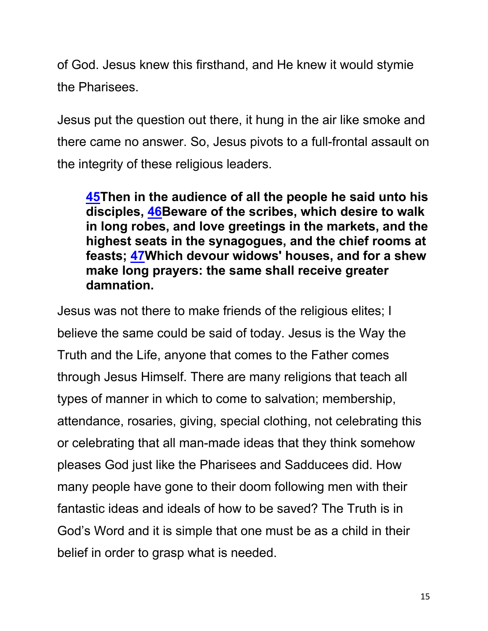of God. Jesus knew this firsthand, and He knew it would stymie the Pharisees.

Jesus put the question out there, it hung in the air like smoke and there came no answer. So, Jesus pivots to a full-frontal assault on the integrity of these religious leaders.

**45Then in the audience of all the people he said unto his disciples, 46Beware of the scribes, which desire to walk in long robes, and love greetings in the markets, and the highest seats in the synagogues, and the chief rooms at feasts; 47Which devour widows' houses, and for a shew make long prayers: the same shall receive greater damnation.**

Jesus was not there to make friends of the religious elites; I believe the same could be said of today. Jesus is the Way the Truth and the Life, anyone that comes to the Father comes through Jesus Himself. There are many religions that teach all types of manner in which to come to salvation; membership, attendance, rosaries, giving, special clothing, not celebrating this or celebrating that all man-made ideas that they think somehow pleases God just like the Pharisees and Sadducees did. How many people have gone to their doom following men with their fantastic ideas and ideals of how to be saved? The Truth is in God's Word and it is simple that one must be as a child in their belief in order to grasp what is needed.